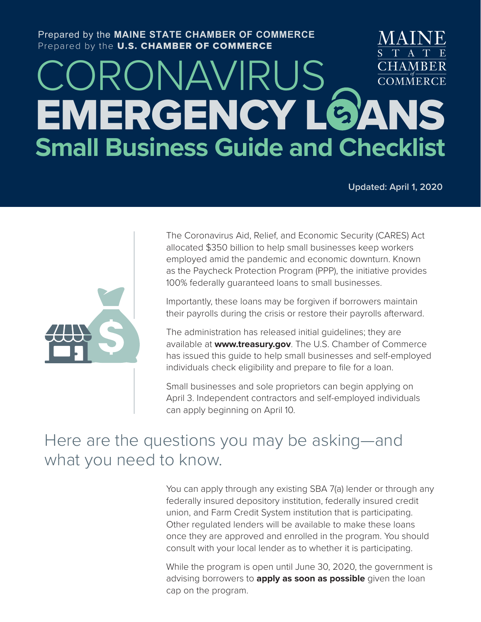### Prepared by the **MAINE STATE CHAMBER OF COMMERCE** Prepared by the U.S. CHAMBER OF COMMERCE

## CORONAVIRUS **CHAMBER COMMERCE** EMERGENCY LOANS **Small Business Guide and Checklist**

**Updated: April 1, 2020**



The Coronavirus Aid, Relief, and Economic Security (CARES) Act allocated \$350 billion to help small businesses keep workers employed amid the pandemic and economic downturn. Known as the Paycheck Protection Program (PPP), the initiative provides 100% federally guaranteed loans to small businesses.

Importantly, these loans may be forgiven if borrowers maintain their payrolls during the crisis or restore their payrolls afterward.

The administration has released initial guidelines; they are available at **www.treasury.gov**. The U.S. Chamber of Commerce has issued this guide to help small businesses and self-employed individuals check eligibility and prepare to file for a loan.

Small businesses and sole proprietors can begin applying on April 3. Independent contractors and self-employed individuals can apply beginning on April 10.

## Here are the questions you may be asking—and what you need to know.

You can apply through any existing SBA 7(a) lender or through any federally insured depository institution, federally insured credit union, and Farm Credit System institution that is participating. Other regulated lenders will be available to make these loans once they are approved and enrolled in the program. You should consult with your local lender as to whether it is participating.

While the program is open until June 30, 2020, the government is advising borrowers to **apply as soon as possible** given the loan cap on the program.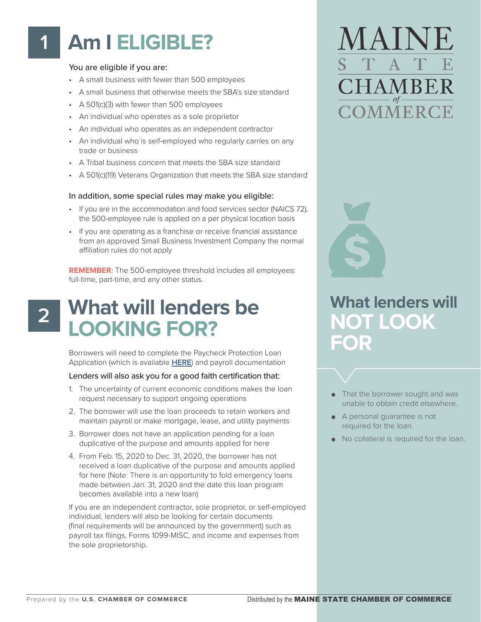## **Am I ELIGIBLE? 1**

#### You are eligible if you are:

- A small business with fewer than 500 employees
- A small business that otherwise meets the SBA's size standard
- A 501(c)(3) with fewer than 500 employees
- An individual who operates as a sole proprietor
- An individual who operates as an independent contractor
- An individual who is self-employed who regularly carries on any trade or business
- A Tribal business concern that meets the SBA size standard
- A 501(c)(19) Veterans Organization that meets the SBA size standard

#### In addition, some special rules may make you eligible:

- If you are in the accommodation and food services sector (NAICS 72), the 500-employee rule is applied on a per physical location basis
- If you are operating as a franchise or receive financial assistance from an approved Small Business Investment Company the normal affiliation rules do not apply

**REMEMBER**: The 500-employee threshold includes all employees: full-time, part-time, and any other status.

## **2**

## **What will lenders be LOOKING FOR?**

Borrowers will need to complete the Paycheck Protection Loan Application (which is available **[HERE](https://home.treasury.gov/system/files/136/Paycheck-Protection-Program-Application-3-30-2020-v3.pdf)**) and payroll documentation

#### Lenders will also ask you for a good faith certification that:

- 1. The uncertainty of current economic conditions makes the loan request necessary to support ongoing operations
- 2. The borrower will use the loan proceeds to retain workers and maintain payroll or make mortgage, lease, and utility payments
- 3. Borrower does not have an application pending for a loan duplicative of the purpose and amounts applied for here
- 4. From Feb. 15, 2020 to Dec. 31, 2020, the borrower has not received a loan duplicative of the purpose and amounts applied for here (Note: There is an opportunity to fold emergency loans made between Jan. 31, 2020 and the date this loan program becomes available into a new loan)

If you are an independent contractor, sole proprietor, or self-employed individual, lenders will also be looking for certain documents (final requirements will be announced by the government) such as payroll tax filings, Forms 1099-MISC, and income and expenses from the sole proprietorship.

# **HAMBER MMERC**



## **What lenders will NOT LOOK FOR**

- That the borrower sought and was unable to obtain credit elsewhere.
- A personal guarantee is not required for the loan.
- No collateral is required for the loan.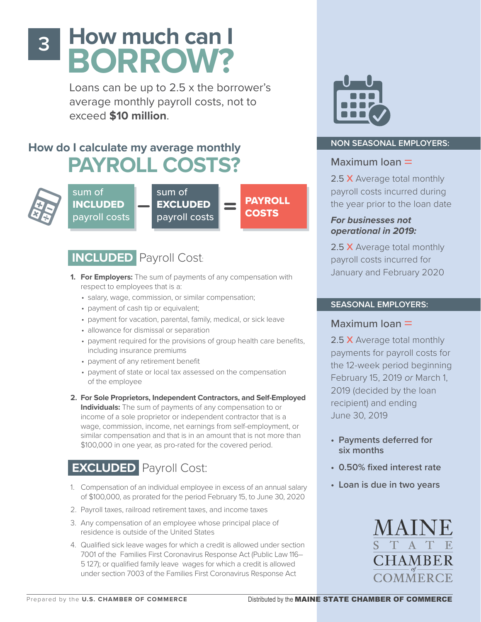## **How much can I BORROW?**

Loans can be up to 2.5 x the borrower's average monthly payroll costs, not to exceed **\$10 million**.

## **How do I calculate my average monthly PAYROLL COSTS?**



**3**

sum of INCLUDED payroll costs

sum of EXCLUDED payroll costs

PAYROLL **COSTS** 

## **INCLUDED** Payroll Cost:

- **1. For Employers:** The sum of payments of any compensation with respect to employees that is a:
	- salary, wage, commission, or similar compensation;
	- payment of cash tip or equivalent;
	- payment for vacation, parental, family, medical, or sick leave
	- allowance for dismissal or separation
	- payment required for the provisions of group health care benefits, including insurance premiums
	- payment of any retirement benefit
	- payment of state or local tax assessed on the compensation of the employee
- **2. For Sole Proprietors, Independent Contractors, and Self-Employed Individuals:** The sum of payments of any compensation to or income of a sole proprietor or independent contractor that is a wage, commission, income, net earnings from self-employment, or similar compensation and that is in an amount that is not more than \$100,000 in one year, as pro-rated for the covered period.

## **EXCLUDED** Payroll Cost:

- 1. Compensation of an individual employee in excess of an annual salary of \$100,000, as prorated for the period February 15, to June 30, 2020
- 2. Payroll taxes, railroad retirement taxes, and income taxes
- 3. Any compensation of an employee whose principal place of residence is outside of the United States
- 4. Qualified sick leave wages for which a credit is allowed under section 7001 of the Families First Coronavirus Response Act (Public Law 116– 5 127); or qualified family leave wages for which a credit is allowed under section 7003 of the Families First Coronavirus Response Act



### **NON SEASONAL EMPLOYERS:**

## Maximum loan  $=$

2.5 X Average total monthly payroll costs incurred during the year prior to the loan date

*For businesses not operational in 2019:*

2.5 X Average total monthly payroll costs incurred for January and February 2020

### **SEASONAL EMPLOYERS:**

## Maximum  $loan =$

2.5 X Average total monthly payments for payroll costs for the 12-week period beginning February 15, 2019 *or* March 1, 2019 (decided by the loan recipient) and ending June 30, 2019

- **• Payments deferred for six months**
- **• 0.50% fixed interest rate**
- **• Loan is due in two years**